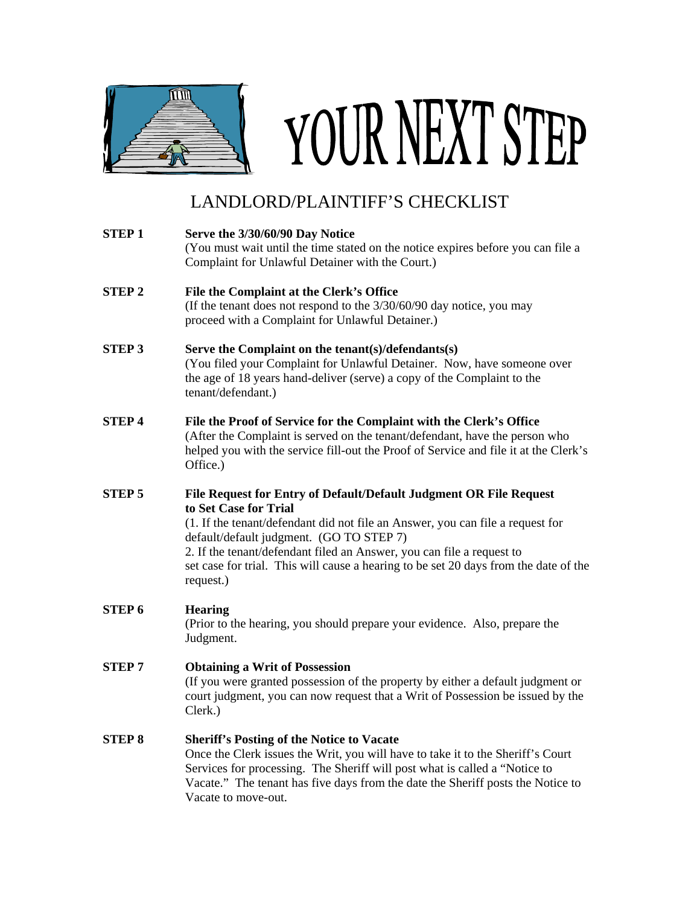

## YOUR NEXT STEP

## LANDLORD/PLAINTIFF'S CHECKLIST

| <b>STEP1</b>  | Serve the 3/30/60/90 Day Notice<br>(You must wait until the time stated on the notice expires before you can file a<br>Complaint for Unlawful Detainer with the Court.)                                                                                                                                                                                                                                 |
|---------------|---------------------------------------------------------------------------------------------------------------------------------------------------------------------------------------------------------------------------------------------------------------------------------------------------------------------------------------------------------------------------------------------------------|
| <b>STEP 2</b> | File the Complaint at the Clerk's Office<br>(If the tenant does not respond to the 3/30/60/90 day notice, you may<br>proceed with a Complaint for Unlawful Detainer.)                                                                                                                                                                                                                                   |
| <b>STEP 3</b> | Serve the Complaint on the tenant(s)/defendants(s)<br>(You filed your Complaint for Unlawful Detainer. Now, have someone over<br>the age of 18 years hand-deliver (serve) a copy of the Complaint to the<br>tenant/defendant.)                                                                                                                                                                          |
| <b>STEP4</b>  | File the Proof of Service for the Complaint with the Clerk's Office<br>(After the Complaint is served on the tenant/defendant, have the person who<br>helped you with the service fill-out the Proof of Service and file it at the Clerk's<br>Office.)                                                                                                                                                  |
| STEP 5        | File Request for Entry of Default/Default Judgment OR File Request<br>to Set Case for Trial<br>(1. If the tenant/defendant did not file an Answer, you can file a request for<br>default/default judgment. (GO TO STEP 7)<br>2. If the tenant/defendant filed an Answer, you can file a request to<br>set case for trial. This will cause a hearing to be set 20 days from the date of the<br>request.) |
| <b>STEP 6</b> | <b>Hearing</b><br>(Prior to the hearing, you should prepare your evidence. Also, prepare the<br>Judgment.                                                                                                                                                                                                                                                                                               |
| <b>STEP7</b>  | <b>Obtaining a Writ of Possession</b><br>(If you were granted possession of the property by either a default judgment or<br>court judgment, you can now request that a Writ of Possession be issued by the<br>Clerk.)                                                                                                                                                                                   |
| <b>STEP 8</b> | <b>Sheriff's Posting of the Notice to Vacate</b><br>Once the Clerk issues the Writ, you will have to take it to the Sheriff's Court<br>Services for processing. The Sheriff will post what is called a "Notice to<br>Vacate." The tenant has five days from the date the Sheriff posts the Notice to                                                                                                    |

Vacate to move-out.